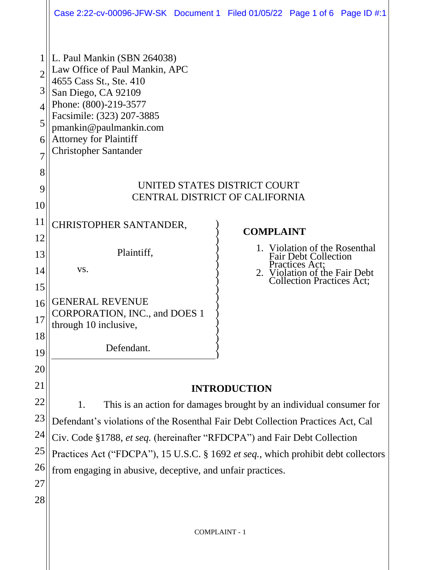|                                                      | Case 2:22-cv-00096-JFW-SK Document 1 Filed 01/05/22 Page 1 of 6 Page ID #:1                                                                                                                                                                                      |                  |                                                                                                                    |  |  |
|------------------------------------------------------|------------------------------------------------------------------------------------------------------------------------------------------------------------------------------------------------------------------------------------------------------------------|------------------|--------------------------------------------------------------------------------------------------------------------|--|--|
| $\overline{2}$<br>3<br>$\overline{4}$<br>5<br>6<br>7 | L. Paul Mankin (SBN 264038)<br>Law Office of Paul Mankin, APC<br>4655 Cass St., Ste. 410<br>San Diego, CA 92109<br>Phone: (800)-219-3577<br>Facsimile: (323) 207-3885<br>pmankin@paulmankin.com<br><b>Attorney for Plaintiff</b><br><b>Christopher Santander</b> |                  |                                                                                                                    |  |  |
| 8<br>9<br>10                                         | UNITED STATES DISTRICT COURT<br><b>CENTRAL DISTRICT OF CALIFORNIA</b>                                                                                                                                                                                            |                  |                                                                                                                    |  |  |
| 11<br>12                                             | CHRISTOPHER SANTANDER,                                                                                                                                                                                                                                           | <b>COMPLAINT</b> | 1. Violation of the Rosenthal                                                                                      |  |  |
| 13<br>14<br>15                                       | Plaintiff,<br>VS.                                                                                                                                                                                                                                                |                  | <b>Fair Debt Collection</b><br>Practices Act;<br>2. Violation of the Fair Debt<br><b>Collection Practices Act;</b> |  |  |
| 16<br>17                                             | <b>GENERAL REVENUE</b><br>CORPORATION, INC., and DOES 1<br>through 10 inclusive,                                                                                                                                                                                 |                  |                                                                                                                    |  |  |
| 18<br>19                                             | Defendant.                                                                                                                                                                                                                                                       |                  |                                                                                                                    |  |  |
| 20<br>21                                             | <b>INTRODUCTION</b>                                                                                                                                                                                                                                              |                  |                                                                                                                    |  |  |
| 22<br>23                                             | 1.<br>This is an action for damages brought by an individual consumer for<br>Defendant's violations of the Rosenthal Fair Debt Collection Practices Act, Cal                                                                                                     |                  |                                                                                                                    |  |  |
| 24<br>25                                             | Civ. Code §1788, et seq. (hereinafter "RFDCPA") and Fair Debt Collection<br>Practices Act ("FDCPA"), 15 U.S.C. § 1692 et seq., which prohibit debt collectors                                                                                                    |                  |                                                                                                                    |  |  |
| 26<br>27                                             | from engaging in abusive, deceptive, and unfair practices.                                                                                                                                                                                                       |                  |                                                                                                                    |  |  |
| 28                                                   |                                                                                                                                                                                                                                                                  |                  |                                                                                                                    |  |  |
|                                                      | <b>COMPLAINT - 1</b>                                                                                                                                                                                                                                             |                  |                                                                                                                    |  |  |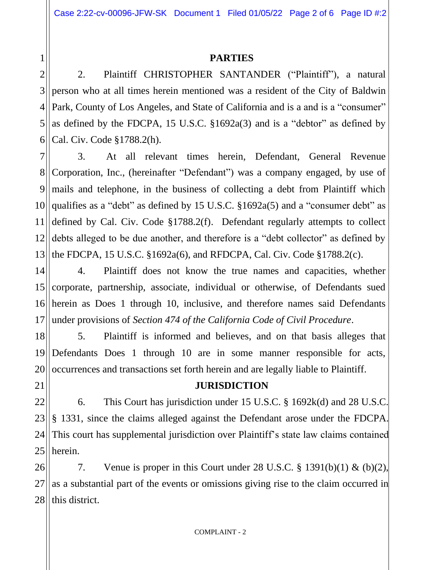#### **PARTIES**

2 3 4 5 6 2. Plaintiff CHRISTOPHER SANTANDER ("Plaintiff"), a natural person who at all times herein mentioned was a resident of the City of Baldwin Park, County of Los Angeles, and State of California and is a and is a "consumer" as defined by the FDCPA, 15 U.S.C. §1692a(3) and is a "debtor" as defined by Cal. Civ. Code §1788.2(h).

7 8 9 10 11 12 13 3. At all relevant times herein, Defendant, General Revenue Corporation, Inc., (hereinafter "Defendant") was a company engaged, by use of mails and telephone, in the business of collecting a debt from Plaintiff which qualifies as a "debt" as defined by 15 U.S.C. §1692a(5) and a "consumer debt" as defined by Cal. Civ. Code §1788.2(f). Defendant regularly attempts to collect debts alleged to be due another, and therefore is a "debt collector" as defined by the FDCPA, 15 U.S.C. §1692a(6), and RFDCPA, Cal. Civ. Code §1788.2(c).

14 15 16 17 4. Plaintiff does not know the true names and capacities, whether corporate, partnership, associate, individual or otherwise, of Defendants sued herein as Does 1 through 10, inclusive, and therefore names said Defendants under provisions of *Section 474 of the California Code of Civil Procedure*.

18 19 20 5. Plaintiff is informed and believes, and on that basis alleges that Defendants Does 1 through 10 are in some manner responsible for acts, occurrences and transactions set forth herein and are legally liable to Plaintiff.

21

1

**JURISDICTION**

22 23 24 25 6. This Court has jurisdiction under 15 U.S.C. § 1692k(d) and 28 U.S.C. § 1331, since the claims alleged against the Defendant arose under the FDCPA. This court has supplemental jurisdiction over Plaintiff's state law claims contained herein.

26 27 28 7. Venue is proper in this Court under 28 U.S.C.  $\S$  1391(b)(1) & (b)(2), as a substantial part of the events or omissions giving rise to the claim occurred in this district.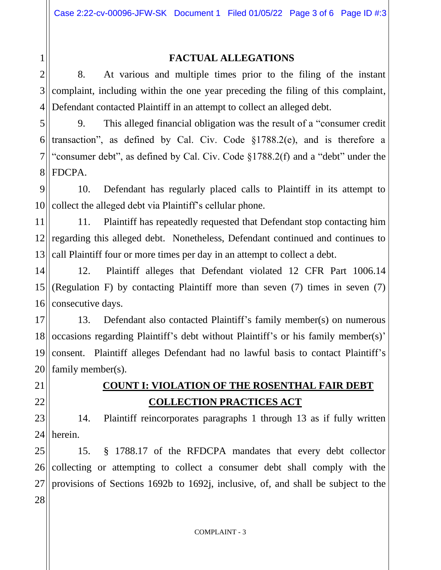1 2 3

21

22

#### **FACTUAL ALLEGATIONS**

4 8. At various and multiple times prior to the filing of the instant complaint, including within the one year preceding the filing of this complaint, Defendant contacted Plaintiff in an attempt to collect an alleged debt.

5 6 7 8 9. This alleged financial obligation was the result of a "consumer credit transaction", as defined by Cal. Civ. Code §1788.2(e), and is therefore a "consumer debt", as defined by Cal. Civ. Code §1788.2(f) and a "debt" under the FDCPA.

9 10 10. Defendant has regularly placed calls to Plaintiff in its attempt to collect the alleged debt via Plaintiff's cellular phone.

11 12 13 11. Plaintiff has repeatedly requested that Defendant stop contacting him regarding this alleged debt. Nonetheless, Defendant continued and continues to call Plaintiff four or more times per day in an attempt to collect a debt.

14 15 16 12. Plaintiff alleges that Defendant violated 12 CFR Part 1006.14 (Regulation F) by contacting Plaintiff more than seven (7) times in seven (7) consecutive days.

17 18 19 20 13. Defendant also contacted Plaintiff's family member(s) on numerous occasions regarding Plaintiff's debt without Plaintiff's or his family member(s)' consent. Plaintiff alleges Defendant had no lawful basis to contact Plaintiff's family member(s).

## **COUNT I: VIOLATION OF THE ROSENTHAL FAIR DEBT COLLECTION PRACTICES ACT**

23  $24$ 14. Plaintiff reincorporates paragraphs 1 through 13 as if fully written herein.

25 26 27 28 15. § 1788.17 of the RFDCPA mandates that every debt collector collecting or attempting to collect a consumer debt shall comply with the provisions of Sections 1692b to 1692j, inclusive, of, and shall be subject to the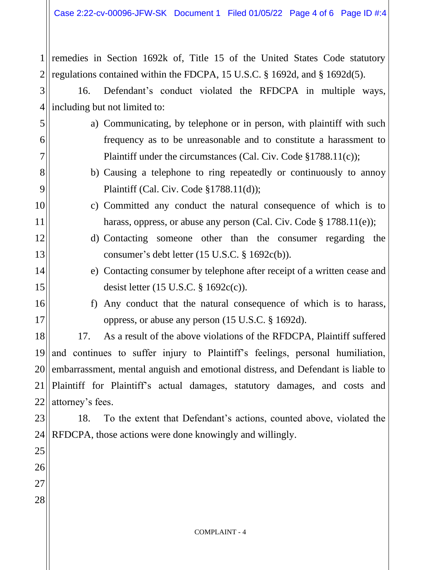$1$  || 2 remedies in Section 1692k of, Title 15 of the United States Code statutory regulations contained within the FDCPA, 15 U.S.C. § 1692d, and § 1692d(5).

3  $4$ 16. Defendant's conduct violated the RFDCPA in multiple ways, including but not limited to:

- a) Communicating, by telephone or in person, with plaintiff with such frequency as to be unreasonable and to constitute a harassment to Plaintiff under the circumstances (Cal. Civ. Code §1788.11(c));
	- b) Causing a telephone to ring repeatedly or continuously to annoy Plaintiff (Cal. Civ. Code §1788.11(d));
- c) Committed any conduct the natural consequence of which is to harass, oppress, or abuse any person (Cal. Civ. Code § 1788.11(e));
- d) Contacting someone other than the consumer regarding the consumer's debt letter (15 U.S.C. § 1692c(b)).
	- e) Contacting consumer by telephone after receipt of a written cease and desist letter (15 U.S.C. § 1692c(c)).
- 16 17

5

6

7

8

9

10

11

12

13

14

15

f) Any conduct that the natural consequence of which is to harass, oppress, or abuse any person (15 U.S.C. § 1692d).

18 19 20 21 22 17. As a result of the above violations of the RFDCPA, Plaintiff suffered and continues to suffer injury to Plaintiff's feelings, personal humiliation, embarrassment, mental anguish and emotional distress, and Defendant is liable to Plaintiff for Plaintiff's actual damages, statutory damages, and costs and attorney's fees.

23 24 18. To the extent that Defendant's actions, counted above, violated the RFDCPA, those actions were done knowingly and willingly.

26 27 28

25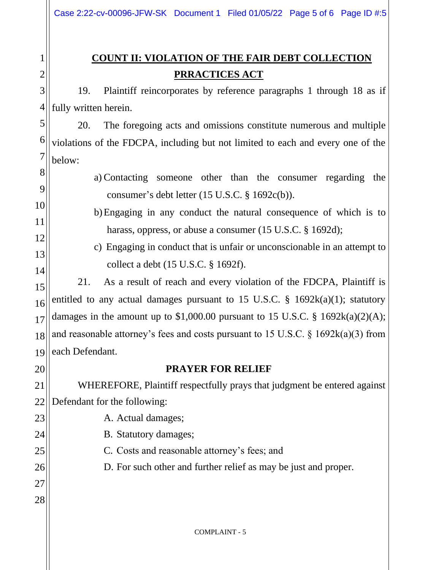# **COUNT II: VIOLATION OF THE FAIR DEBT COLLECTION PRRACTICES ACT**

3 4 19. Plaintiff reincorporates by reference paragraphs 1 through 18 as if fully written herein.

5 20. The foregoing acts and omissions constitute numerous and multiple violations of the FDCPA, including but not limited to each and every one of the below:

- a) Contacting someone other than the consumer regarding the consumer's debt letter (15 U.S.C. § 1692c(b)).
	- b)Engaging in any conduct the natural consequence of which is to harass, oppress, or abuse a consumer (15 U.S.C. § 1692d);
	- c) Engaging in conduct that is unfair or unconscionable in an attempt to collect a debt (15 U.S.C. § 1692f).

15 16 17 18 19 21. As a result of reach and every violation of the FDCPA, Plaintiff is entitled to any actual damages pursuant to 15 U.S.C. § 1692k(a)(1); statutory damages in the amount up to \$1,000.00 pursuant to 15 U.S.C. § 1692 $k(a)(2)(A)$ ; and reasonable attorney's fees and costs pursuant to 15 U.S.C.  $\S$  1692k(a)(3) from each Defendant.

20

1

2

6

7

8

9

10

11

12

13

14

### **PRAYER FOR RELIEF**

21 22 WHEREFORE, Plaintiff respectfully prays that judgment be entered against Defendant for the following:

23 24 25 26 27 28 A. Actual damages; B. Statutory damages; C. Costs and reasonable attorney's fees; and D. For such other and further relief as may be just and proper.